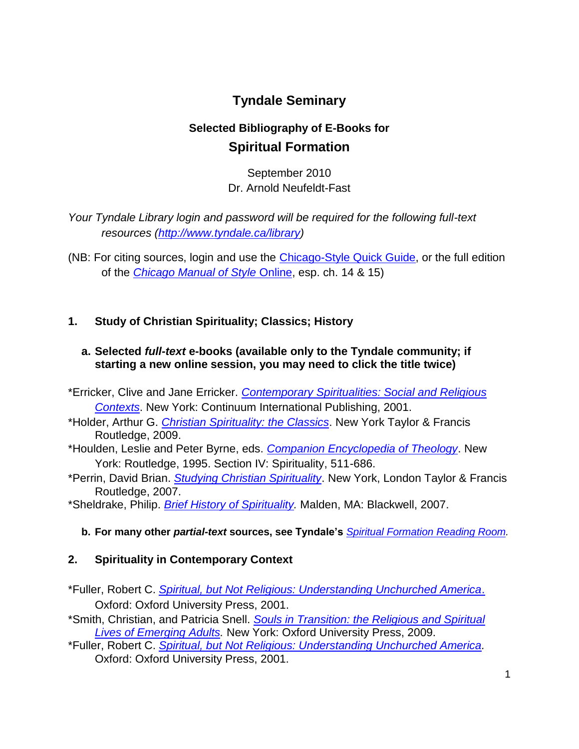# **Tyndale Seminary**

# **Selected Bibliography of E-Books for Spiritual Formation**

September 2010 Dr. Arnold Neufeldt-Fast

*Your Tyndale Library login and password will be required for the following full-text resources [\(http://www.tyndale.ca/library\)](http://www.tyndale.ca/library)* 

(NB: For citing sources, login and use the [Chicago-Style Quick Guide,](http://ezproxy.mytyndale.ca:2048/login?url=http://www.chicagomanualofstyle.org.ezproxy.mytyndale.ca:2048/tools_citationguide.html) or the full edition of the *[Chicago Manual of Style](http://ezproxy.mytyndale.ca:2048/login?url=http://www.chicagomanualofstyle.org.ezproxy.mytyndale.ca:2048/16/contents.html)* Online, esp. ch. 14 & 15)

## **1. Study of Christian Spirituality; Classics; History**

### **a. Selected** *full-text* **e-books (available only to the Tyndale community; if starting a new online session, you may need to click the title twice)**

- \*Erricker, Clive and Jane Erricker. *[Contemporary Spiritualities: Social and Religious](http://ezproxy.mytyndale.ca:2048/login?url=http://site.ebrary.com.ezproxy.mytyndale.ca:2048/lib/tyndale/docDetail.action?docID=10250567)  [Contexts](http://ezproxy.mytyndale.ca:2048/login?url=http://site.ebrary.com.ezproxy.mytyndale.ca:2048/lib/tyndale/docDetail.action?docID=10250567)*. New York: Continuum International Publishing, 2001.
- \*Holder, Arthur G. *[Christian Spirituality: the Classics](http://ezproxy.mytyndale.ca:2048/login?url=http://www.netlibrary.com.ezproxy.mytyndale.ca:2048/Details.aspx?ProductId=289656)*. New York Taylor & Francis Routledge, 2009.
- \*Houlden, Leslie and Peter Byrne, eds. *[Companion Encyclopedia of Theology](http://ezproxy.mytyndale.ca:2048/login?url=http://site.ebrary.com.ezproxy.mytyndale.ca:2048/lib/tyndale/docDetail.action?docID=10057583)*. New York: Routledge, 1995. Section IV: Spirituality, 511-686.
- \*Perrin, David Brian. *[Studying Christian Spirituality](http://ezproxy.mytyndale.ca:2048/login?url=http://www.netlibrary.com.ezproxy.mytyndale.ca:2048/Details.aspx?ProductId=201733)*. New York, London Taylor & Francis Routledge, 2007.
- \*Sheldrake, Philip. *[Brief History of Spirituality.](http://ezproxy.mytyndale.ca:2048/login?url=http://www.netlibrary.com.ezproxy.mytyndale.ca:2048/Details.aspx?ProductId=181527)* Malden, MA: Blackwell, 2007.
	- **b. For many other** *partial-text* **sources, see Tyndale's** *[Spiritual Formation Reading Room.](http://www.tyndale.ca/seminary/mtsmodular/reading-rooms/formation)*

### **2. Spirituality in Contemporary Context**

- \*Fuller, Robert C. *[Spiritual, but Not Religious: Understanding Unchurched America](http://ezproxy.mytyndale.ca:2048/login?url=http://site.ebrary.com.ezproxy.mytyndale.ca:2048/lib/tyndale/docDetail.action?docID=10085246)*. Oxford: Oxford University Press, 2001.
- \*Smith, Christian, and Patricia Snell. *[Souls in Transition: the Religious and Spiritual](http://ezproxy.mytyndale.ca:2048/login?url=http://www.netlibrary.com.ezproxy.mytyndale.ca:2048/Details.aspx?ProductId=292780)  [Lives of Emerging Adults.](http://ezproxy.mytyndale.ca:2048/login?url=http://www.netlibrary.com.ezproxy.mytyndale.ca:2048/Details.aspx?ProductId=292780)* New York: Oxford University Press, 2009.
- \*Fuller, Robert C. *[Spiritual, but Not Religious: Understanding Unchurched America.](http://ezproxy.mytyndale.ca:2048/login?url=http://www.netlibrary.com.ezproxy.mytyndale.ca:2048/Details.aspx?ProductId=129269)* Oxford: Oxford University Press, 2001.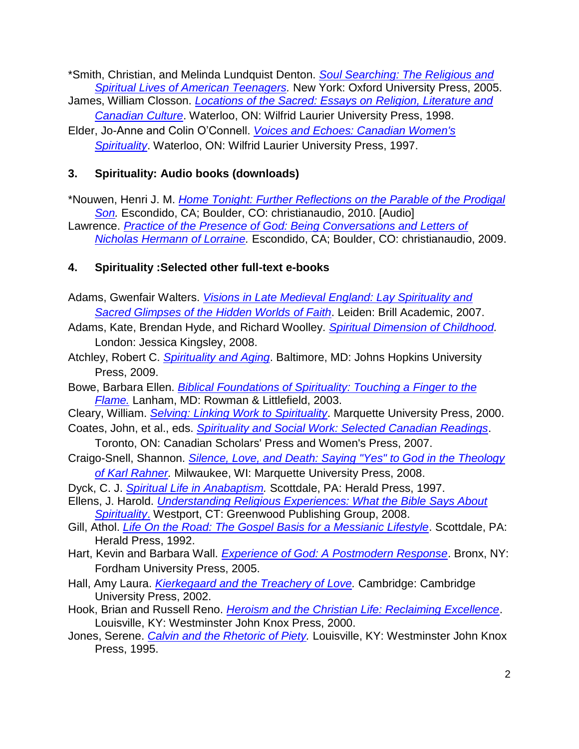\*Smith, Christian, and Melinda Lundquist Denton. *[Soul Searching: The Religious and](http://ezproxy.mytyndale.ca:2048/login?url=http://www.netlibrary.com.ezproxy.mytyndale.ca:2048/Details.aspx?ProductId=138269)  [Spiritual Lives of American Teenagers.](http://ezproxy.mytyndale.ca:2048/login?url=http://www.netlibrary.com.ezproxy.mytyndale.ca:2048/Details.aspx?ProductId=138269)* New York: Oxford University Press, 2005.

- James, William Closson. *[Locations of the Sacred: Essays on Religion, Literature and](http://ezproxy.mytyndale.ca:2048/login?url=http://site.ebrary.com.ezproxy.mytyndale.ca:2048/lib/tyndale/docDetail.action?docID=10139365)  [Canadian Culture](http://ezproxy.mytyndale.ca:2048/login?url=http://site.ebrary.com.ezproxy.mytyndale.ca:2048/lib/tyndale/docDetail.action?docID=10139365)*. Waterloo, ON: Wilfrid Laurier University Press, 1998.
- Elder, Jo-Anne and Colin O'Connell. *[Voices and Echoes: Canadian Women's](http://ezproxy.mytyndale.ca:2048/login?url=http://site.ebrary.com.ezproxy.mytyndale.ca:2048/lib/tyndale/docDetail.action?docID=10139314)  [Spirituality](http://ezproxy.mytyndale.ca:2048/login?url=http://site.ebrary.com.ezproxy.mytyndale.ca:2048/lib/tyndale/docDetail.action?docID=10139314)*. Waterloo, ON: Wilfrid Laurier University Press, 1997.

## **3. Spirituality: Audio books (downloads)**

\*Nouwen, Henri J. M. *[Home Tonight: Further Reflections on the Parable of the Prodigal](http://ezproxy.mytyndale.ca:2048/login?url=http://www.netlibrary.com.ezproxy.mytyndale.ca:2048/Details.aspx?ProductId=304058)  [Son.](http://ezproxy.mytyndale.ca:2048/login?url=http://www.netlibrary.com.ezproxy.mytyndale.ca:2048/Details.aspx?ProductId=304058)* Escondido, CA; Boulder, CO: christianaudio, 2010. [Audio] Lawrence. *[Practice of the Presence of God: Being Conversations and Letters of](http://ezproxy.mytyndale.ca:2048/login?url=http://www.netlibrary.com.ezproxy.mytyndale.ca:2048/Details.aspx?ProductId=292940)* 

*[Nicholas Hermann of Lorraine.](http://ezproxy.mytyndale.ca:2048/login?url=http://www.netlibrary.com.ezproxy.mytyndale.ca:2048/Details.aspx?ProductId=292940)* Escondido, CA; Boulder, CO: christianaudio, 2009.

## **4. Spirituality :Selected other full-text e-books**

- Adams, Gwenfair Walters. *[Visions in Late Medieval England: Lay Spirituality and](http://ezproxy.mytyndale.ca:2048/login?url=http://site.ebrary.com.ezproxy.mytyndale.ca:2048/lib/tyndale/docDetail.action?docID=10271082)  [Sacred Glimpses of the Hidden Worlds](http://ezproxy.mytyndale.ca:2048/login?url=http://site.ebrary.com.ezproxy.mytyndale.ca:2048/lib/tyndale/docDetail.action?docID=10271082) of Faith*. Leiden: Brill Academic, 2007.
- Adams, Kate, Brendan Hyde, and Richard Woolley. *[Spiritual Dimension of Childhood.](http://ezproxy.mytyndale.ca:2048/login?url=http://site.ebrary.com.ezproxy.mytyndale.ca:2048/lib/tyndale/docDetail.action?docID=10251486)* London: Jessica Kingsley, 2008.
- Atchley, Robert C. *[Spirituality and Aging](http://ezproxy.mytyndale.ca:2048/login?url=http://site.ebrary.com.ezproxy.mytyndale.ca:2048/lib/tyndale/docDetail.action?docID=10363245)*. Baltimore, MD: Johns Hopkins University Press, 2009.
- Bowe, Barbara Ellen. *[Biblical Foundations of Spirituality: Touching a](http://ezproxy.mytyndale.ca:2048/login?url=http://www.netlibrary.com.ezproxy.mytyndale.ca:2048/Details.aspx?ProductId=101608) Finger to the [Flame.](http://ezproxy.mytyndale.ca:2048/login?url=http://www.netlibrary.com.ezproxy.mytyndale.ca:2048/Details.aspx?ProductId=101608)* Lanham, MD: Rowman & Littlefield, 2003.
- Cleary, William. *[Selving: Linking Work to Spirituality](http://ezproxy.mytyndale.ca:2048/login?url=http://site.ebrary.com.ezproxy.mytyndale.ca:2048/lib/tyndale/docDetail.action?docID=2001874)*. Marquette University Press, 2000.
- Coates, John, et al., eds. *[Spirituality and Social Work: Selected Canadian Readings](http://ezproxy.mytyndale.ca:2048/login?url=http://site.ebrary.com.ezproxy.mytyndale.ca:2048/lib/tyndale/docDetail.action?docID=10191702)*.
	- Toronto, ON: Canadian Scholars' Press and Women's Press, 2007.
- Craigo-Snell, Shannon. *[Silence, Love, and Death: Saying "Yes" to God in the Theology](http://ezproxy.mytyndale.ca:2048/login?url=http://site.ebrary.com.ezproxy.mytyndale.ca:2048/lib/tyndale/docDetail.action?docID=10292313)  [of Karl Rahner.](http://ezproxy.mytyndale.ca:2048/login?url=http://site.ebrary.com.ezproxy.mytyndale.ca:2048/lib/tyndale/docDetail.action?docID=10292313)* Milwaukee, WI: Marquette University Press, 2008.
- Dyck, C. J. *[Spiritual Life in Anabaptism.](http://ezproxy.mytyndale.ca:2048/login?url=http://www.netlibrary.com.ezproxy.mytyndale.ca:2048/Details.aspx?ProductId=27979)* Scottdale, PA: Herald Press, 1997.
- Ellens, J. Harold. *[Understanding Religious Experiences: What the Bible Says About](http://ezproxy.mytyndale.ca:2048/login?url=http://www.netlibrary.com.ezproxy.mytyndale.ca:2048/Details.aspx?ProductId=218346)*  **[Spirituality](http://ezproxy.mytyndale.ca:2048/login?url=http://www.netlibrary.com.ezproxy.mytyndale.ca:2048/Details.aspx?ProductId=218346).** Westport, CT: Greenwood Publishing Group, 2008.
- Gill, Athol. *[Life On the Road: The Gospel Basis for a Messianic Lifestyle](http://ezproxy.mytyndale.ca:2048/login?url=http://www.netlibrary.com.ezproxy.mytyndale.ca:2048/Details.aspx?ProductId=28482)*. Scottdale, PA: Herald Press, 1992.
- Hart, Kevin and Barbara Wall. *[Experience of God: A Postmodern Response](http://ezproxy.mytyndale.ca:2048/login?url=http://site.ebrary.com.ezproxy.mytyndale.ca:2048/lib/tyndale/docDetail.action?docID=10131762)*. Bronx, NY: Fordham University Press, 2005.
- Hall, Amy Laura. *[Kierkegaard and the Treachery of Love.](http://ezproxy.mytyndale.ca:2048/login?url=http://www.netlibrary.com.ezproxy.mytyndale.ca:2048/Details.aspx?ProductId=112622)* Cambridge: Cambridge University Press, 2002.
- Hook, Brian and Russell Reno. *[Heroism and the Christian Life: Reclaiming Excellence](http://ezproxy.mytyndale.ca:2048/login?url=http://www.netlibrary.com.ezproxy.mytyndale.ca:2048/Details.aspx?ProductId=41267)*. Louisville, KY: Westminster John Knox Press, 2000.
- Jones, Serene. *[Calvin and the Rhetoric of Piety.](http://www.netlibrary.com.ezproxy.mytyndale.ca:2048/Details.aspx?ProductId=41116)* Louisville, KY: Westminster John Knox Press, 1995.